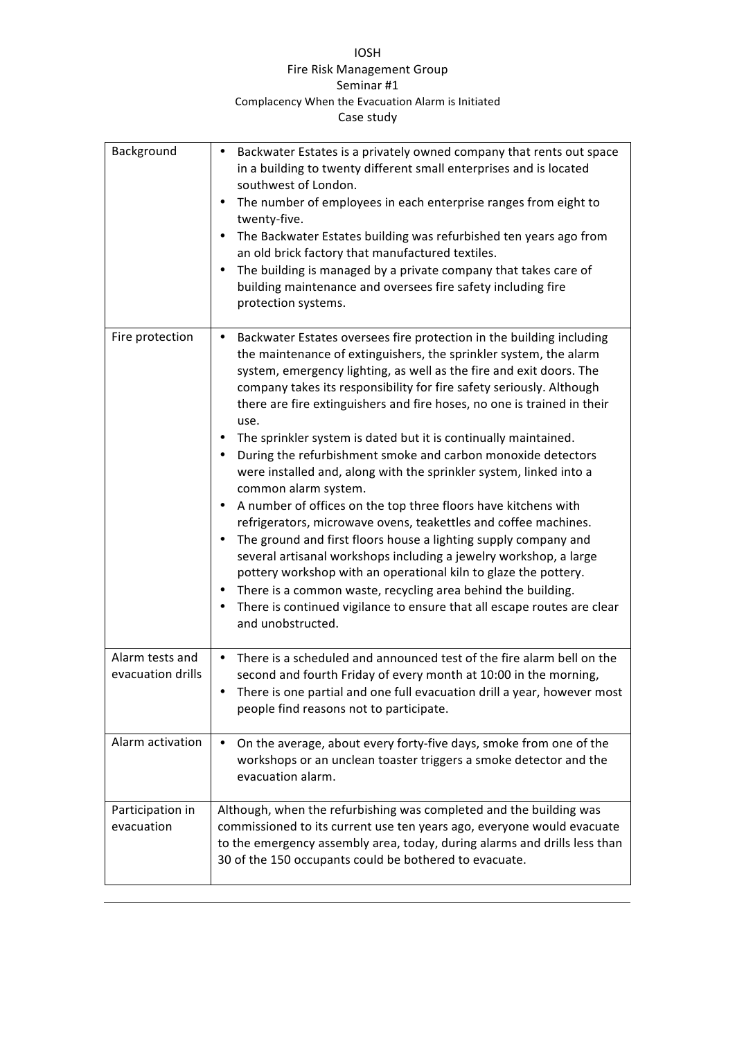## IOSH Fire Risk Management Group Seminar #1 Complacency When the Evacuation Alarm is Initiated Case study

| Background                           | Backwater Estates is a privately owned company that rents out space<br>٠<br>in a building to twenty different small enterprises and is located<br>southwest of London.<br>The number of employees in each enterprise ranges from eight to<br>twenty-five.<br>The Backwater Estates building was refurbished ten years ago from<br>an old brick factory that manufactured textiles.<br>The building is managed by a private company that takes care of<br>building maintenance and oversees fire safety including fire<br>protection systems.                                                                                                                                                                                                                                                                                                                                                                                                                                                                                                                                                                                              |
|--------------------------------------|-------------------------------------------------------------------------------------------------------------------------------------------------------------------------------------------------------------------------------------------------------------------------------------------------------------------------------------------------------------------------------------------------------------------------------------------------------------------------------------------------------------------------------------------------------------------------------------------------------------------------------------------------------------------------------------------------------------------------------------------------------------------------------------------------------------------------------------------------------------------------------------------------------------------------------------------------------------------------------------------------------------------------------------------------------------------------------------------------------------------------------------------|
| Fire protection                      | Backwater Estates oversees fire protection in the building including<br>$\bullet$<br>the maintenance of extinguishers, the sprinkler system, the alarm<br>system, emergency lighting, as well as the fire and exit doors. The<br>company takes its responsibility for fire safety seriously. Although<br>there are fire extinguishers and fire hoses, no one is trained in their<br>use.<br>The sprinkler system is dated but it is continually maintained.<br>During the refurbishment smoke and carbon monoxide detectors<br>were installed and, along with the sprinkler system, linked into a<br>common alarm system.<br>A number of offices on the top three floors have kitchens with<br>refrigerators, microwave ovens, teakettles and coffee machines.<br>The ground and first floors house a lighting supply company and<br>several artisanal workshops including a jewelry workshop, a large<br>pottery workshop with an operational kiln to glaze the pottery.<br>There is a common waste, recycling area behind the building.<br>There is continued vigilance to ensure that all escape routes are clear<br>and unobstructed. |
| Alarm tests and<br>evacuation drills | There is a scheduled and announced test of the fire alarm bell on the<br>$\bullet$<br>second and fourth Friday of every month at 10:00 in the morning,<br>There is one partial and one full evacuation drill a year, however most<br>people find reasons not to participate.                                                                                                                                                                                                                                                                                                                                                                                                                                                                                                                                                                                                                                                                                                                                                                                                                                                              |
| Alarm activation                     | On the average, about every forty-five days, smoke from one of the<br>٠<br>workshops or an unclean toaster triggers a smoke detector and the<br>evacuation alarm.                                                                                                                                                                                                                                                                                                                                                                                                                                                                                                                                                                                                                                                                                                                                                                                                                                                                                                                                                                         |
| Participation in<br>evacuation       | Although, when the refurbishing was completed and the building was<br>commissioned to its current use ten years ago, everyone would evacuate<br>to the emergency assembly area, today, during alarms and drills less than<br>30 of the 150 occupants could be bothered to evacuate.                                                                                                                                                                                                                                                                                                                                                                                                                                                                                                                                                                                                                                                                                                                                                                                                                                                       |